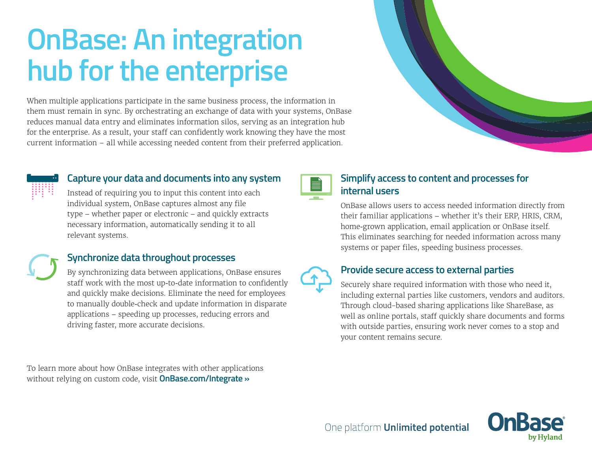# **OnBase: An integration hub for the enterprise**

When multiple applications participate in the same business process, the information in them must remain in sync. By orchestrating an exchange of data with your systems, OnBase reduces manual data entry and eliminates information silos, serving as an integration hub for the enterprise. As a result, your staff can confidently work knowing they have the most current information – all while accessing needed content from their preferred application.



#### **Capture your data and documents into any system**

Instead of requiring you to input this content into each individual system, OnBase captures almost any file type – whether paper or electronic – and quickly extracts necessary information, automatically sending it to all relevant systems.

## **Synchronize data throughout processes**

By synchronizing data between applications, OnBase ensures staff work with the most up-to-date information to confidently and quickly make decisions. Eliminate the need for employees to manually double-check and update information in disparate applications – speeding up processes, reducing errors and driving faster, more accurate decisions.

To learn more about how OnBase integrates with other applications without relying on custom code, visit **[OnBase.com/Integrate »](https://www.onbase.com/en/product/onbase-platform/product-deep-dive/integrate#.V3PuOFdwZl0)**



## **Simplify access to content and processes for internal users**

OnBase allows users to access needed information directly from their familiar applications – whether it's their ERP, HRIS, CRM, home-grown application, email application or OnBase itself. This eliminates searching for needed information across many systems or paper files, speeding business processes.



#### **Provide secure access to external parties**

One platform **Unlimited potential** 

Securely share required information with those who need it, including external parties like customers, vendors and auditors. Through cloud-based sharing applications like ShareBase, as well as online portals, staff quickly share documents and forms with outside parties, ensuring work never comes to a stop and your content remains secure.